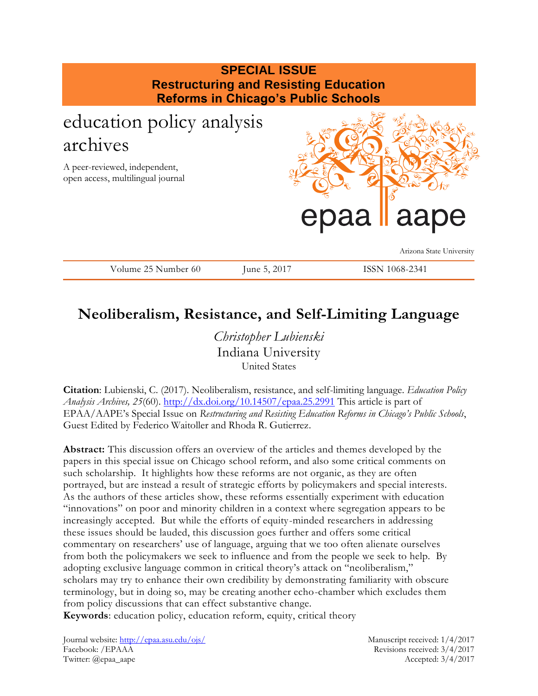| <b>SPECIAL ISSUE</b><br><b>Restructuring and Resisting Education</b><br><b>Reforms in Chicago's Public Schools</b> |              |  |                                        |  |
|--------------------------------------------------------------------------------------------------------------------|--------------|--|----------------------------------------|--|
| education policy analysis<br>archives<br>A peer-reviewed, independent,<br>open access, multilingual journal        |              |  |                                        |  |
|                                                                                                                    |              |  | epaa laape<br>Arizona State University |  |
| Volume 25 Number 60                                                                                                | June 5, 2017 |  | ISSN 1068-2341                         |  |

## **Neoliberalism, Resistance, and Self-Limiting Language**

*Christopher Lubienski* Indiana University United States

**Citation**: Lubienski, C. (2017). Neoliberalism, resistance, and self-limiting language. *Education Policy Analysis Archives, 25*(60).<http://dx.doi.org/10.14507/epaa.25.2991> This article is part of EPAA/AAPE's Special Issue on *Restructuring and Resisting Education Reforms in Chicago's Public Schools*, Guest Edited by Federico Waitoller and Rhoda R. Gutierrez.

**Abstract:** This discussion offers an overview of the articles and themes developed by the papers in this special issue on Chicago school reform, and also some critical comments on such scholarship. It highlights how these reforms are not organic, as they are often portrayed, but are instead a result of strategic efforts by policymakers and special interests. As the authors of these articles show, these reforms essentially experiment with education "innovations" on poor and minority children in a context where segregation appears to be increasingly accepted. But while the efforts of equity-minded researchers in addressing these issues should be lauded, this discussion goes further and offers some critical commentary on researchers' use of language, arguing that we too often alienate ourselves from both the policymakers we seek to influence and from the people we seek to help. By adopting exclusive language common in critical theory's attack on "neoliberalism," scholars may try to enhance their own credibility by demonstrating familiarity with obscure terminology, but in doing so, may be creating another echo-chamber which excludes them from policy discussions that can effect substantive change.

**Keywords**: education policy, education reform, equity, critical theory

Journal website:<http://epaa.asu.edu/ojs/> Manuscript received: 1/4/2017 Facebook: /EPAAA Revisions received: 3/4/2017 Twitter: @epaa\_aape Accepted: 3/4/2017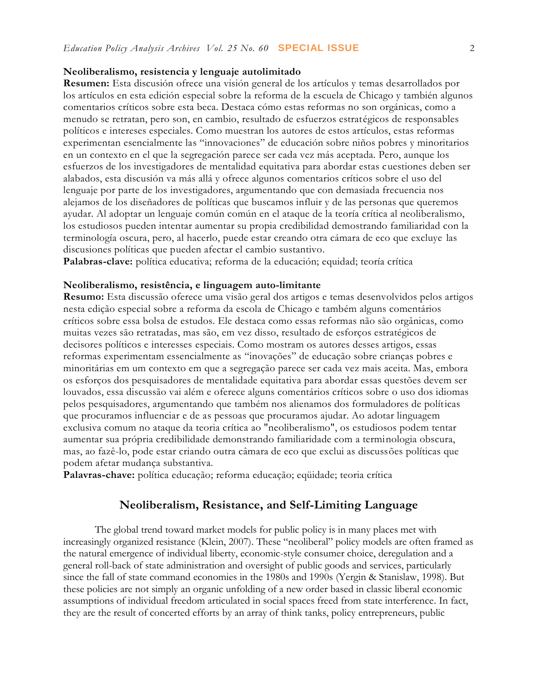#### **Neoliberalismo, resistencia y lenguaje autolimitado**

**Resumen:** Esta discusión ofrece una visión general de los artículos y temas desarrollados por los artículos en esta edición especial sobre la reforma de la escuela de Chicago y también algunos comentarios críticos sobre esta beca. Destaca cómo estas reformas no son orgánicas, como a menudo se retratan, pero son, en cambio, resultado de esfuerzos estratégicos de responsables políticos e intereses especiales. Como muestran los autores de estos artículos, estas reformas experimentan esencialmente las "innovaciones" de educación sobre niños pobres y minoritarios en un contexto en el que la segregación parece ser cada vez más aceptada. Pero, aunque los esfuerzos de los investigadores de mentalidad equitativa para abordar estas cuestiones deben ser alabados, esta discusión va más allá y ofrece algunos comentarios críticos sobre el uso del lenguaje por parte de los investigadores, argumentando que con demasiada frecuencia nos alejamos de los diseñadores de políticas que buscamos influir y de las personas que queremos ayudar. Al adoptar un lenguaje común común en el ataque de la teoría crítica al neoliberalismo, los estudiosos pueden intentar aumentar su propia credibilidad demostrando familiaridad con la terminología oscura, pero, al hacerlo, puede estar creando otra cámara de eco que excluye las discusiones políticas que pueden afectar el cambio sustantivo.

Palabras-clave: política educativa; reforma de la educación; equidad; teoría crítica

#### **Neoliberalismo, resistência, e linguagem auto-limitante**

**Resumo:** Esta discussão oferece uma visão geral dos artigos e temas desenvolvidos pelos artigos nesta edição especial sobre a reforma da escola de Chicago e também alguns comentários críticos sobre essa bolsa de estudos. Ele destaca como essas reformas não são orgânicas, como muitas vezes são retratadas, mas são, em vez disso, resultado de esforços estratégicos de decisores políticos e interesses especiais. Como mostram os autores desses artigos, essas reformas experimentam essencialmente as "inovações" de educação sobre crianças pobres e minoritárias em um contexto em que a segregação parece ser cada vez mais aceita. Mas, embora os esforços dos pesquisadores de mentalidade equitativa para abordar essas questões devem ser louvados, essa discussão vai além e oferece alguns comentários críticos sobre o uso dos idiomas pelos pesquisadores, argumentando que também nos alienamos dos formuladores de políticas que procuramos influenciar e de as pessoas que procuramos ajudar. Ao adotar linguagem exclusiva comum no ataque da teoria crítica ao "neoliberalismo", os estudiosos podem tentar aumentar sua própria credibilidade demonstrando familiaridade com a terminologia obscura, mas, ao fazê-lo, pode estar criando outra câmara de eco que exclui as discussões políticas que podem afetar mudança substantiva.

**Palavras-chave:** política educação; reforma educação; eqüidade; teoria crítica

#### **Neoliberalism, Resistance, and Self-Limiting Language**

The global trend toward market models for public policy is in many places met with increasingly organized resistance (Klein, 2007). These "neoliberal" policy models are often framed as the natural emergence of individual liberty, economic-style consumer choice, deregulation and a general roll-back of state administration and oversight of public goods and services, particularly since the fall of state command economies in the 1980s and 1990s (Yergin & Stanislaw, 1998). But these policies are not simply an organic unfolding of a new order based in classic liberal economic assumptions of individual freedom articulated in social spaces freed from state interference. In fact, they are the result of concerted efforts by an array of think tanks, policy entrepreneurs, public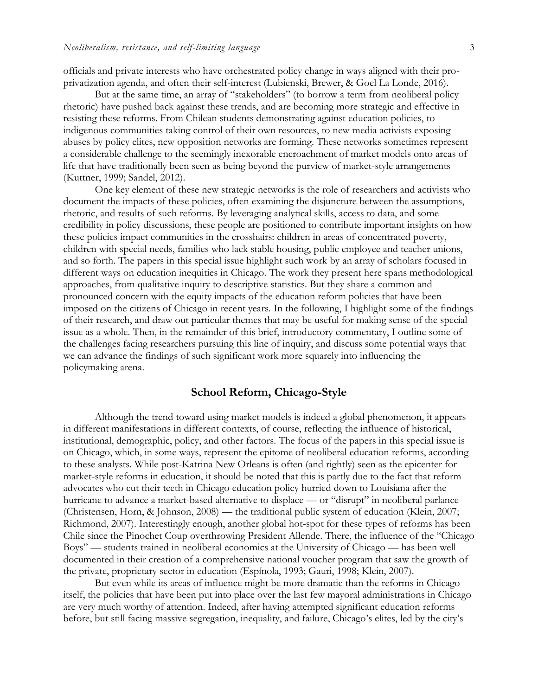officials and private interests who have orchestrated policy change in ways aligned with their proprivatization agenda, and often their self-interest (Lubienski, Brewer, & Goel La Londe, 2016).

But at the same time, an array of "stakeholders" (to borrow a term from neoliberal policy rhetoric) have pushed back against these trends, and are becoming more strategic and effective in resisting these reforms. From Chilean students demonstrating against education policies, to indigenous communities taking control of their own resources, to new media activists exposing abuses by policy elites, new opposition networks are forming. These networks sometimes represent a considerable challenge to the seemingly inexorable encroachment of market models onto areas of life that have traditionally been seen as being beyond the purview of market-style arrangements (Kuttner, 1999; Sandel, 2012).

One key element of these new strategic networks is the role of researchers and activists who document the impacts of these policies, often examining the disjuncture between the assumptions, rhetoric, and results of such reforms. By leveraging analytical skills, access to data, and some credibility in policy discussions, these people are positioned to contribute important insights on how these policies impact communities in the crosshairs: children in areas of concentrated poverty, children with special needs, families who lack stable housing, public employee and teacher unions, and so forth. The papers in this special issue highlight such work by an array of scholars focused in different ways on education inequities in Chicago. The work they present here spans methodological approaches, from qualitative inquiry to descriptive statistics. But they share a common and pronounced concern with the equity impacts of the education reform policies that have been imposed on the citizens of Chicago in recent years. In the following, I highlight some of the findings of their research, and draw out particular themes that may be useful for making sense of the special issue as a whole. Then, in the remainder of this brief, introductory commentary, I outline some of the challenges facing researchers pursuing this line of inquiry, and discuss some potential ways that we can advance the findings of such significant work more squarely into influencing the policymaking arena.

#### **School Reform, Chicago-Style**

Although the trend toward using market models is indeed a global phenomenon, it appears in different manifestations in different contexts, of course, reflecting the influence of historical, institutional, demographic, policy, and other factors. The focus of the papers in this special issue is on Chicago, which, in some ways, represent the epitome of neoliberal education reforms, according to these analysts. While post-Katrina New Orleans is often (and rightly) seen as the epicenter for market-style reforms in education, it should be noted that this is partly due to the fact that reform advocates who cut their teeth in Chicago education policy hurried down to Louisiana after the hurricane to advance a market-based alternative to displace — or "disrupt" in neoliberal parlance (Christensen, Horn, & Johnson, 2008) — the traditional public system of education (Klein, 2007; Richmond, 2007). Interestingly enough, another global hot-spot for these types of reforms has been Chile since the Pinochet Coup overthrowing President Allende. There, the influence of the "Chicago Boys" — students trained in neoliberal economics at the University of Chicago — has been well documented in their creation of a comprehensive national voucher program that saw the growth of the private, proprietary sector in education (Espínola, 1993; Gauri, 1998; Klein, 2007).

But even while its areas of influence might be more dramatic than the reforms in Chicago itself, the policies that have been put into place over the last few mayoral administrations in Chicago are very much worthy of attention. Indeed, after having attempted significant education reforms before, but still facing massive segregation, inequality, and failure, Chicago's elites, led by the city's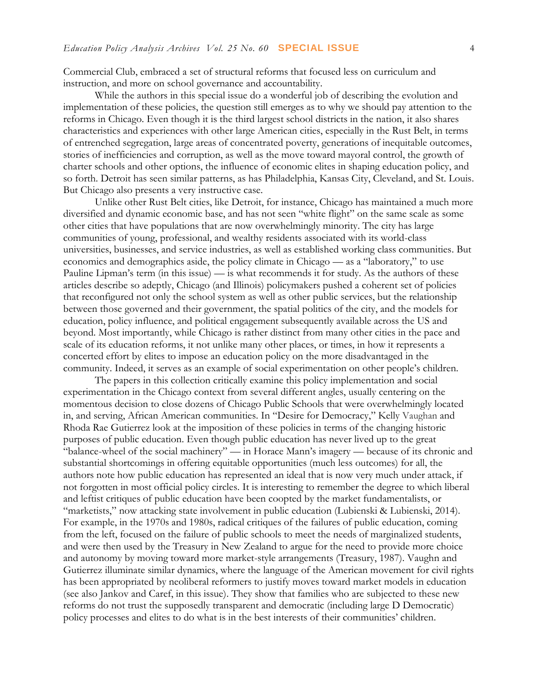Commercial Club, embraced a set of structural reforms that focused less on curriculum and instruction, and more on school governance and accountability.

While the authors in this special issue do a wonderful job of describing the evolution and implementation of these policies, the question still emerges as to why we should pay attention to the reforms in Chicago. Even though it is the third largest school districts in the nation, it also shares characteristics and experiences with other large American cities, especially in the Rust Belt, in terms of entrenched segregation, large areas of concentrated poverty, generations of inequitable outcomes, stories of inefficiencies and corruption, as well as the move toward mayoral control, the growth of charter schools and other options, the influence of economic elites in shaping education policy, and so forth. Detroit has seen similar patterns, as has Philadelphia, Kansas City, Cleveland, and St. Louis. But Chicago also presents a very instructive case.

Unlike other Rust Belt cities, like Detroit, for instance, Chicago has maintained a much more diversified and dynamic economic base, and has not seen "white flight" on the same scale as some other cities that have populations that are now overwhelmingly minority. The city has large communities of young, professional, and wealthy residents associated with its world-class universities, businesses, and service industries, as well as established working class communities. But economics and demographics aside, the policy climate in Chicago — as a "laboratory," to use Pauline Lipman's term (in this issue) — is what recommends it for study. As the authors of these articles describe so adeptly, Chicago (and Illinois) policymakers pushed a coherent set of policies that reconfigured not only the school system as well as other public services, but the relationship between those governed and their government, the spatial politics of the city, and the models for education, policy influence, and political engagement subsequently available across the US and beyond. Most importantly, while Chicago is rather distinct from many other cities in the pace and scale of its education reforms, it not unlike many other places, or times, in how it represents a concerted effort by elites to impose an education policy on the more disadvantaged in the community. Indeed, it serves as an example of social experimentation on other people's children.

The papers in this collection critically examine this policy implementation and social experimentation in the Chicago context from several different angles, usually centering on the momentous decision to close dozens of Chicago Public Schools that were overwhelmingly located in, and serving, African American communities. In "Desire for Democracy," Kelly Vaughan and Rhoda Rae Gutierrez look at the imposition of these policies in terms of the changing historic purposes of public education. Even though public education has never lived up to the great "balance-wheel of the social machinery" — in Horace Mann's imagery — because of its chronic and substantial shortcomings in offering equitable opportunities (much less outcomes) for all, the authors note how public education has represented an ideal that is now very much under attack, if not forgotten in most official policy circles. It is interesting to remember the degree to which liberal and leftist critiques of public education have been coopted by the market fundamentalists, or "marketists," now attacking state involvement in public education (Lubienski & Lubienski, 2014). For example, in the 1970s and 1980s, radical critiques of the failures of public education, coming from the left, focused on the failure of public schools to meet the needs of marginalized students, and were then used by the Treasury in New Zealand to argue for the need to provide more choice and autonomy by moving toward more market-style arrangements (Treasury, 1987). Vaughn and Gutierrez illuminate similar dynamics, where the language of the American movement for civil rights has been appropriated by neoliberal reformers to justify moves toward market models in education (see also Jankov and Caref, in this issue). They show that families who are subjected to these new reforms do not trust the supposedly transparent and democratic (including large D Democratic) policy processes and elites to do what is in the best interests of their communities' children.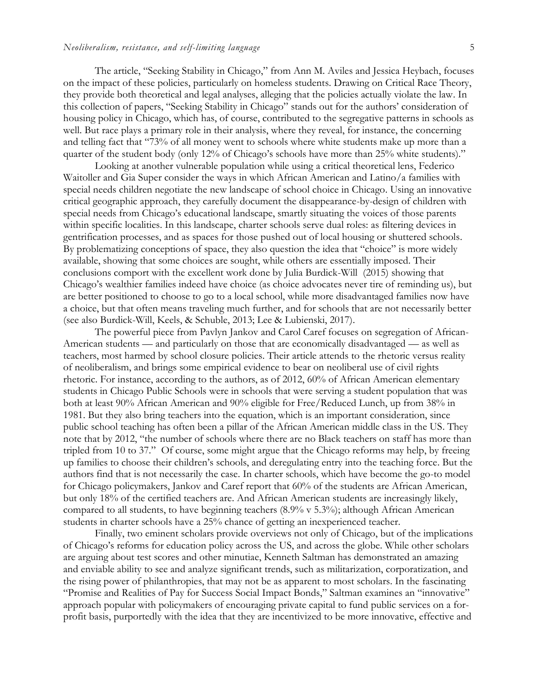The article, "Seeking Stability in Chicago," from Ann M. Aviles and Jessica Heybach, focuses on the impact of these policies, particularly on homeless students. Drawing on Critical Race Theory, they provide both theoretical and legal analyses, alleging that the policies actually violate the law. In this collection of papers, "Seeking Stability in Chicago" stands out for the authors' consideration of housing policy in Chicago, which has, of course, contributed to the segregative patterns in schools as well. But race plays a primary role in their analysis, where they reveal, for instance, the concerning and telling fact that "73% of all money went to schools where white students make up more than a quarter of the student body (only 12% of Chicago's schools have more than 25% white students)."

Looking at another vulnerable population while using a critical theoretical lens, Federico Waitoller and Gia Super consider the ways in which African American and Latino/a families with special needs children negotiate the new landscape of school choice in Chicago. Using an innovative critical geographic approach, they carefully document the disappearance-by-design of children with special needs from Chicago's educational landscape, smartly situating the voices of those parents within specific localities. In this landscape, charter schools serve dual roles: as filtering devices in gentrification processes, and as spaces for those pushed out of local housing or shuttered schools. By problematizing conceptions of space, they also question the idea that "choice" is more widely available, showing that some choices are sought, while others are essentially imposed. Their conclusions comport with the excellent work done by Julia Burdick-Will (2015) showing that Chicago's wealthier families indeed have choice (as choice advocates never tire of reminding us), but are better positioned to choose to go to a local school, while more disadvantaged families now have a choice, but that often means traveling much further, and for schools that are not necessarily better (see also Burdick-Will, Keels, & Schuble, 2013; Lee & Lubienski, 2017).

The powerful piece from Pavlyn Jankov and Carol Caref focuses on segregation of African-American students — and particularly on those that are economically disadvantaged — as well as teachers, most harmed by school closure policies. Their article attends to the rhetoric versus reality of neoliberalism, and brings some empirical evidence to bear on neoliberal use of civil rights rhetoric. For instance, according to the authors, as of 2012, 60% of African American elementary students in Chicago Public Schools were in schools that were serving a student population that was both at least 90% African American and 90% eligible for Free/Reduced Lunch, up from 38% in 1981. But they also bring teachers into the equation, which is an important consideration, since public school teaching has often been a pillar of the African American middle class in the US. They note that by 2012, "the number of schools where there are no Black teachers on staff has more than tripled from 10 to 37." Of course, some might argue that the Chicago reforms may help, by freeing up families to choose their children's schools, and deregulating entry into the teaching force. But the authors find that is not necessarily the case. In charter schools, which have become the go-to model for Chicago policymakers, Jankov and Caref report that 60% of the students are African American, but only 18% of the certified teachers are. And African American students are increasingly likely, compared to all students, to have beginning teachers (8.9% v 5.3%); although African American students in charter schools have a 25% chance of getting an inexperienced teacher.

Finally, two eminent scholars provide overviews not only of Chicago, but of the implications of Chicago's reforms for education policy across the US, and across the globe. While other scholars are arguing about test scores and other minutiae, Kenneth Saltman has demonstrated an amazing and enviable ability to see and analyze significant trends, such as militarization, corporatization, and the rising power of philanthropies, that may not be as apparent to most scholars. In the fascinating "Promise and Realities of Pay for Success Social Impact Bonds," Saltman examines an "innovative" approach popular with policymakers of encouraging private capital to fund public services on a forprofit basis, purportedly with the idea that they are incentivized to be more innovative, effective and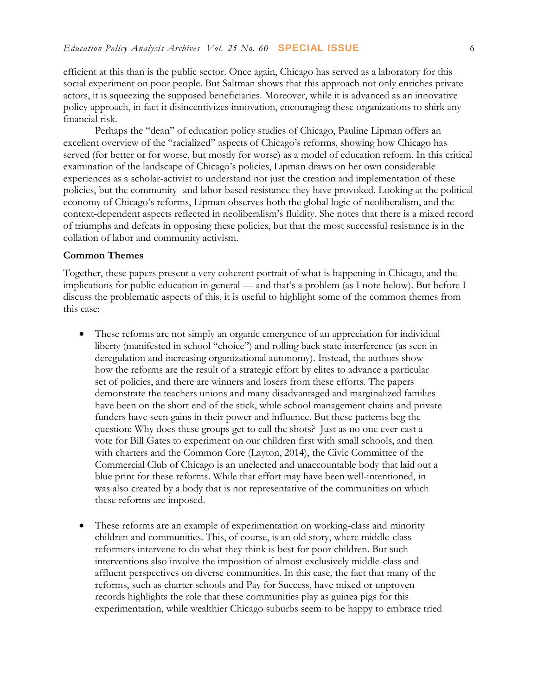efficient at this than is the public sector. Once again, Chicago has served as a laboratory for this social experiment on poor people. But Saltman shows that this approach not only enriches private actors, it is squeezing the supposed beneficiaries. Moreover, while it is advanced as an innovative policy approach, in fact it disincentivizes innovation, encouraging these organizations to shirk any financial risk.

Perhaps the "dean" of education policy studies of Chicago, Pauline Lipman offers an excellent overview of the "racialized" aspects of Chicago's reforms, showing how Chicago has served (for better or for worse, but mostly for worse) as a model of education reform. In this critical examination of the landscape of Chicago's policies, Lipman draws on her own considerable experiences as a scholar-activist to understand not just the creation and implementation of these policies, but the community- and labor-based resistance they have provoked. Looking at the political economy of Chicago's reforms, Lipman observes both the global logic of neoliberalism, and the context-dependent aspects reflected in neoliberalism's fluidity. She notes that there is a mixed record of triumphs and defeats in opposing these policies, but that the most successful resistance is in the collation of labor and community activism.

#### **Common Themes**

Together, these papers present a very coherent portrait of what is happening in Chicago, and the implications for public education in general — and that's a problem (as I note below). But before I discuss the problematic aspects of this, it is useful to highlight some of the common themes from this case:

- These reforms are not simply an organic emergence of an appreciation for individual liberty (manifested in school "choice") and rolling back state interference (as seen in deregulation and increasing organizational autonomy). Instead, the authors show how the reforms are the result of a strategic effort by elites to advance a particular set of policies, and there are winners and losers from these efforts. The papers demonstrate the teachers unions and many disadvantaged and marginalized families have been on the short end of the stick, while school management chains and private funders have seen gains in their power and influence. But these patterns beg the question: Why does these groups get to call the shots? Just as no one ever cast a vote for Bill Gates to experiment on our children first with small schools, and then with charters and the Common Core (Layton, 2014), the Civic Committee of the Commercial Club of Chicago is an unelected and unaccountable body that laid out a blue print for these reforms. While that effort may have been well-intentioned, in was also created by a body that is not representative of the communities on which these reforms are imposed.
- These reforms are an example of experimentation on working-class and minority children and communities. This, of course, is an old story, where middle-class reformers intervene to do what they think is best for poor children. But such interventions also involve the imposition of almost exclusively middle-class and affluent perspectives on diverse communities. In this case, the fact that many of the reforms, such as charter schools and Pay for Success, have mixed or unproven records highlights the role that these communities play as guinea pigs for this experimentation, while wealthier Chicago suburbs seem to be happy to embrace tried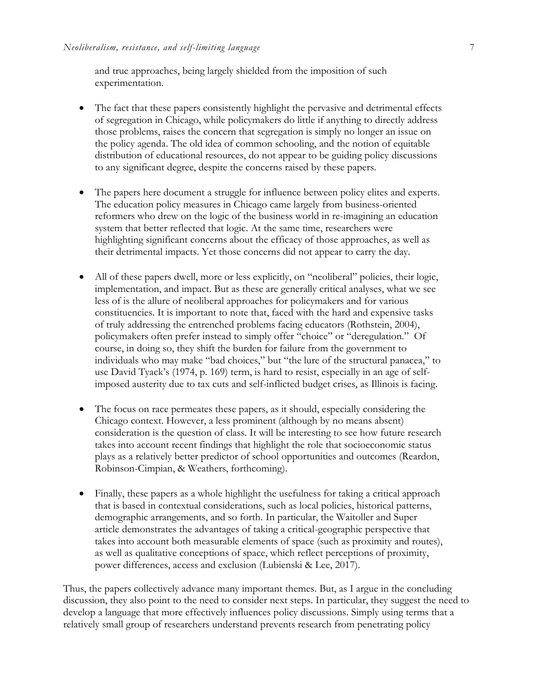and true approaches, being largely shielded from the imposition of such experimentation.

- The fact that these papers consistently highlight the pervasive and detrimental effects of segregation in Chicago, while policymakers do little if anything to directly address those problems, raises the concern that segregation is simply no longer an issue on the policy agenda. The old idea of common schooling, and the notion of equitable distribution of educational resources, do not appear to be guiding policy discussions to any significant degree, despite the concerns raised by these papers.
- The papers here document a struggle for influence between policy elites and experts. The education policy measures in Chicago came largely from business-oriented reformers who drew on the logic of the business world in re-imagining an education system that better reflected that logic. At the same time, researchers were highlighting significant concerns about the efficacy of those approaches, as well as their detrimental impacts. Yet those concerns did not appear to carry the day.
- All of these papers dwell, more or less explicitly, on "neoliberal" policies, their logic, implementation, and impact. But as these are generally critical analyses, what we see less of is the allure of neoliberal approaches for policymakers and for various constituencies. It is important to note that, faced with the hard and expensive tasks of truly addressing the entrenched problems facing educators (Rothstein, 2004), policymakers often prefer instead to simply offer "choice" or "deregulation." Of course, in doing so, they shift the burden for failure from the government to individuals who may make "bad choices," but "the lure of the structural panacea," to use David Tyack's (1974, p. 169) term, is hard to resist, especially in an age of selfimposed austerity due to tax cuts and self-inflicted budget crises, as Illinois is facing.
- The focus on race permeates these papers, as it should, especially considering the Chicago context. However, a less prominent (although by no means absent) consideration is the question of class. It will be interesting to see how future research takes into account recent findings that highlight the role that socioeconomic status plays as a relatively better predictor of school opportunities and outcomes (Reardon, Robinson-Cimpian, & Weathers, forthcoming).
- Finally, these papers as a whole highlight the usefulness for taking a critical approach that is based in contextual considerations, such as local policies, historical patterns, demographic arrangements, and so forth. In particular, the Waitoller and Super article demonstrates the advantages of taking a critical-geographic perspective that takes into account both measurable elements of space (such as proximity and routes), as well as qualitative conceptions of space, which reflect perceptions of proximity, power differences, access and exclusion (Lubienski & Lee, 2017).

Thus, the papers collectively advance many important themes. But, as I argue in the concluding discussion, they also point to the need to consider next steps. In particular, they suggest the need to develop a language that more effectively influences policy discussions. Simply using terms that a relatively small group of researchers understand prevents research from penetrating policy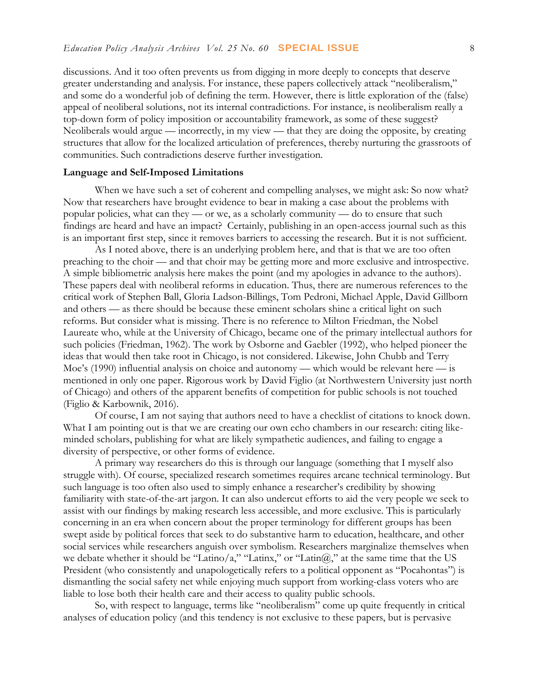discussions. And it too often prevents us from digging in more deeply to concepts that deserve greater understanding and analysis. For instance, these papers collectively attack "neoliberalism," and some do a wonderful job of defining the term. However, there is little exploration of the (false) appeal of neoliberal solutions, not its internal contradictions. For instance, is neoliberalism really a top-down form of policy imposition or accountability framework, as some of these suggest? Neoliberals would argue — incorrectly, in my view — that they are doing the opposite, by creating structures that allow for the localized articulation of preferences, thereby nurturing the grassroots of communities. Such contradictions deserve further investigation.

#### **Language and Self-Imposed Limitations**

When we have such a set of coherent and compelling analyses, we might ask: So now what? Now that researchers have brought evidence to bear in making a case about the problems with popular policies, what can they — or we, as a scholarly community — do to ensure that such findings are heard and have an impact? Certainly, publishing in an open-access journal such as this is an important first step, since it removes barriers to accessing the research. But it is not sufficient.

As I noted above, there is an underlying problem here, and that is that we are too often preaching to the choir — and that choir may be getting more and more exclusive and introspective. A simple bibliometric analysis here makes the point (and my apologies in advance to the authors). These papers deal with neoliberal reforms in education. Thus, there are numerous references to the critical work of Stephen Ball, Gloria Ladson-Billings, Tom Pedroni, Michael Apple, David Gillborn and others — as there should be because these eminent scholars shine a critical light on such reforms. But consider what is missing. There is no reference to Milton Friedman, the Nobel Laureate who, while at the University of Chicago, became one of the primary intellectual authors for such policies (Friedman, 1962). The work by Osborne and Gaebler (1992), who helped pioneer the ideas that would then take root in Chicago, is not considered. Likewise, John Chubb and Terry Moe's (1990) influential analysis on choice and autonomy — which would be relevant here — is mentioned in only one paper. Rigorous work by David Figlio (at Northwestern University just north of Chicago) and others of the apparent benefits of competition for public schools is not touched (Figlio & Karbownik, 2016).

Of course, I am not saying that authors need to have a checklist of citations to knock down. What I am pointing out is that we are creating our own echo chambers in our research: citing likeminded scholars, publishing for what are likely sympathetic audiences, and failing to engage a diversity of perspective, or other forms of evidence.

A primary way researchers do this is through our language (something that I myself also struggle with). Of course, specialized research sometimes requires arcane technical terminology. But such language is too often also used to simply enhance a researcher's credibility by showing familiarity with state-of-the-art jargon. It can also undercut efforts to aid the very people we seek to assist with our findings by making research less accessible, and more exclusive. This is particularly concerning in an era when concern about the proper terminology for different groups has been swept aside by political forces that seek to do substantive harm to education, healthcare, and other social services while researchers anguish over symbolism. Researchers marginalize themselves when we debate whether it should be "Latino/a," "Latinx," or "Latin $(\hat{a})$ "," at the same time that the US President (who consistently and unapologetically refers to a political opponent as "Pocahontas") is dismantling the social safety net while enjoying much support from working-class voters who are liable to lose both their health care and their access to quality public schools.

So, with respect to language, terms like "neoliberalism" come up quite frequently in critical analyses of education policy (and this tendency is not exclusive to these papers, but is pervasive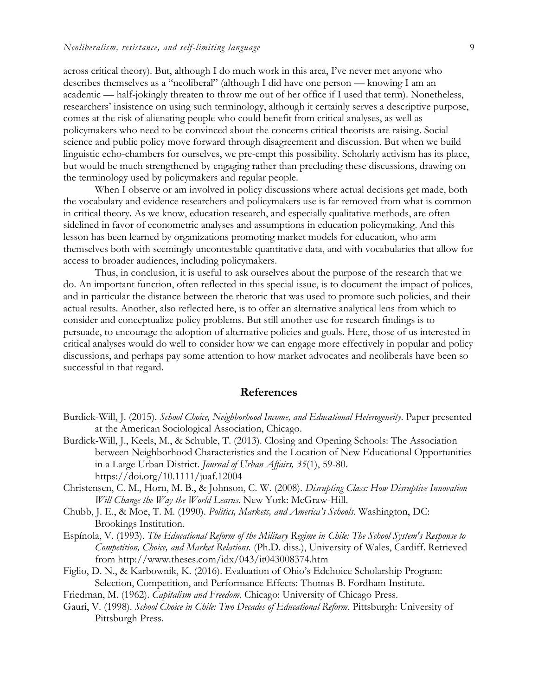across critical theory). But, although I do much work in this area, I've never met anyone who describes themselves as a "neoliberal" (although I did have one person — knowing I am an academic — half-jokingly threaten to throw me out of her office if I used that term). Nonetheless, researchers' insistence on using such terminology, although it certainly serves a descriptive purpose, comes at the risk of alienating people who could benefit from critical analyses, as well as policymakers who need to be convinced about the concerns critical theorists are raising. Social science and public policy move forward through disagreement and discussion. But when we build linguistic echo-chambers for ourselves, we pre-empt this possibility. Scholarly activism has its place, but would be much strengthened by engaging rather than precluding these discussions, drawing on the terminology used by policymakers and regular people.

When I observe or am involved in policy discussions where actual decisions get made, both the vocabulary and evidence researchers and policymakers use is far removed from what is common in critical theory. As we know, education research, and especially qualitative methods, are often sidelined in favor of econometric analyses and assumptions in education policymaking. And this lesson has been learned by organizations promoting market models for education, who arm themselves both with seemingly uncontestable quantitative data, and with vocabularies that allow for access to broader audiences, including policymakers.

Thus, in conclusion, it is useful to ask ourselves about the purpose of the research that we do. An important function, often reflected in this special issue, is to document the impact of polices, and in particular the distance between the rhetoric that was used to promote such policies, and their actual results. Another, also reflected here, is to offer an alternative analytical lens from which to consider and conceptualize policy problems. But still another use for research findings is to persuade, to encourage the adoption of alternative policies and goals. Here, those of us interested in critical analyses would do well to consider how we can engage more effectively in popular and policy discussions, and perhaps pay some attention to how market advocates and neoliberals have been so successful in that regard.

#### **References**

- Burdick-Will, J. (2015). *School Choice, Neighborhood Income, and Educational Heterogeneity*. Paper presented at the American Sociological Association, Chicago.
- Burdick-Will, J., Keels, M., & Schuble, T. (2013). Closing and Opening Schools: The Association between Neighborhood Characteristics and the Location of New Educational Opportunities in a Large Urban District. *Journal of Urban Affairs, 35*(1), 59-80. https://doi.org/10.1111/juaf.12004
- Christensen, C. M., Horn, M. B., & Johnson, C. W. (2008). *Disrupting Class: How Disruptive Innovation Will Change the Way the World Learns*. New York: McGraw-Hill.
- Chubb, J. E., & Moe, T. M. (1990). *Politics, Markets, and America's Schools*. Washington, DC: Brookings Institution.
- Espínola, V. (1993). *The Educational Reform of the Military Regime in Chile: The School System's Response to Competition, Choice, and Market Relations.* (Ph.D. diss.), University of Wales, Cardiff. Retrieved from<http://www.theses.com/idx/043/it043008374.htm>
- Figlio, D. N., & Karbownik, K. (2016). Evaluation of Ohio's Edchoice Scholarship Program: Selection, Competition, and Performance Effects: Thomas B. Fordham Institute.

Friedman, M. (1962). *Capitalism and Freedom*. Chicago: University of Chicago Press.

Gauri, V. (1998). *School Choice in Chile: Two Decades of Educational Reform*. Pittsburgh: University of Pittsburgh Press.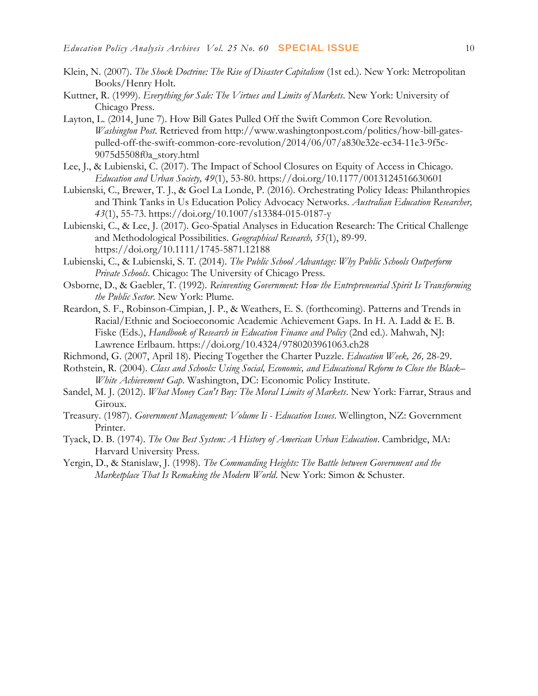- Klein, N. (2007). *The Shock Doctrine: The Rise of Disaster Capitalism* (1st ed.). New York: Metropolitan Books/Henry Holt.
- Kuttner, R. (1999). *Everything for Sale: The Virtues and Limits of Markets*. New York: University of Chicago Press.
- Layton, L. (2014, June 7). How Bill Gates Pulled Off the Swift Common Core Revolution. *Washington Post*. Retrieved from [http://www.washingtonpost.com/politics/how-bill-gates](http://www.washingtonpost.com/politics/how-bill-gates-pulled-off-the-swift-common-core-revolution/2014/06/07/a830e32e-ec34-11e3-9f5c-9075d5508f0a_story.html)[pulled-off-the-swift-common-core-revolution/2014/06/07/a830e32e-ec34-11e3-9f5c-](http://www.washingtonpost.com/politics/how-bill-gates-pulled-off-the-swift-common-core-revolution/2014/06/07/a830e32e-ec34-11e3-9f5c-9075d5508f0a_story.html)[9075d5508f0a\\_story.html](http://www.washingtonpost.com/politics/how-bill-gates-pulled-off-the-swift-common-core-revolution/2014/06/07/a830e32e-ec34-11e3-9f5c-9075d5508f0a_story.html)
- Lee, J., & Lubienski, C. (2017). The Impact of School Closures on Equity of Access in Chicago. *Education and Urban Society, 49*(1), 53-80. https://doi.org/10.1177/0013124516630601
- Lubienski, C., Brewer, T. J., & Goel La Londe, P. (2016). Orchestrating Policy Ideas: Philanthropies and Think Tanks in Us Education Policy Advocacy Networks. *Australian Education Researcher, 43*(1), 55-73. https://doi.org/10.1007/s13384-015-0187-y
- Lubienski, C., & Lee, J. (2017). Geo-Spatial Analyses in Education Research: The Critical Challenge and Methodological Possibilities. *Geographical Research, 55*(1), 89-99. https://doi.org/10.1111/1745-5871.12188
- Lubienski, C., & Lubienski, S. T. (2014). *The Public School Advantage: Why Public Schools Outperform Private Schools*. Chicago: The University of Chicago Press.
- Osborne, D., & Gaebler, T. (1992). *Reinventing Government: How the Entrepreneurial Spirit Is Transforming the Public Sector*. New York: Plume.
- Reardon, S. F., Robinson-Cimpian, J. P., & Weathers, E. S. (forthcoming). Patterns and Trends in Racial/Ethnic and Socioeconomic Academic Achievement Gaps. In H. A. Ladd & E. B. Fiske (Eds.), *Handbook of Research in Education Finance and Policy* (2nd ed.). Mahwah, NJ: Lawrence Erlbaum. https://doi.org/10.4324/9780203961063.ch28
- Richmond, G. (2007, April 18). Piecing Together the Charter Puzzle. *Education Week, 26,* 28-29.
- Rothstein, R. (2004). *Class and Schools: Using Social, Economic, and Educational Reform to Close the Black– White Achievement Gap*. Washington, DC: Economic Policy Institute.
- Sandel, M. J. (2012). *What Money Can't Buy: The Moral Limits of Markets*. New York: Farrar, Straus and Giroux.
- Treasury. (1987). *Government Management: Volume Ii - Education Issues*. Wellington, NZ: Government Printer.
- Tyack, D. B. (1974). *The One Best System: A History of American Urban Education*. Cambridge, MA: Harvard University Press.
- Yergin, D., & Stanislaw, J. (1998). *The Commanding Heights: The Battle between Government and the Marketplace That Is Remaking the Modern World*. New York: Simon & Schuster.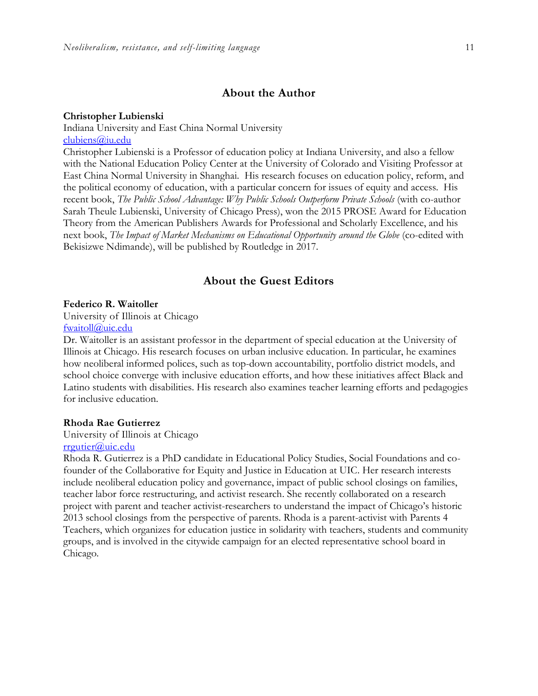#### **About the Author**

#### **Christopher Lubienski**

Indiana University and East China Normal University [clubiens@iu.edu](mailto:clubiens@iu.edu)

Christopher Lubienski is a Professor of education policy at Indiana University, and also a fellow with the National Education Policy Center at the University of Colorado and Visiting Professor at East China Normal University in Shanghai. His research focuses on education policy, reform, and the political economy of education, with a particular concern for issues of equity and access. His recent book, *The Public School Advantage: Why Public Schools Outperform Private Schools* (with co-author Sarah Theule Lubienski, University of Chicago Press), won the 2015 PROSE Award for Education Theory from the American Publishers Awards for Professional and Scholarly Excellence, and his next book, *The Impact of Market Mechanisms on Educational Opportunity around the Globe* (co-edited with Bekisizwe Ndimande), will be published by Routledge in 2017.

#### **About the Guest Editors**

#### **Federico R. Waitoller**

University of Illinois at Chicago [fwaitoll@uic.edu](mailto:fwaitoll@uic.edu)

Dr. Waitoller is an assistant professor in the department of special education at the University of Illinois at Chicago. His research focuses on urban inclusive education. In particular, he examines how neoliberal informed polices, such as top-down accountability, portfolio district models, and school choice converge with inclusive education efforts, and how these initiatives affect Black and Latino students with disabilities. His research also examines teacher learning efforts and pedagogies for inclusive education.

#### **Rhoda Rae Gutierrez**

## University of Illinois at Chicago

### [rrgutier@uic.edu](mailto:rrgutier@uic.edu)

Rhoda R. Gutierrez is a PhD candidate in Educational Policy Studies, Social Foundations and cofounder of the Collaborative for Equity and Justice in Education at UIC. Her research interests include neoliberal education policy and governance, impact of public school closings on families, teacher labor force restructuring, and activist research. She recently collaborated on a research project with parent and teacher activist-researchers to understand the impact of Chicago's historic 2013 school closings from the perspective of parents. Rhoda is a parent-activist with Parents 4 Teachers, which organizes for education justice in solidarity with teachers, students and community groups, and is involved in the citywide campaign for an elected representative school board in Chicago.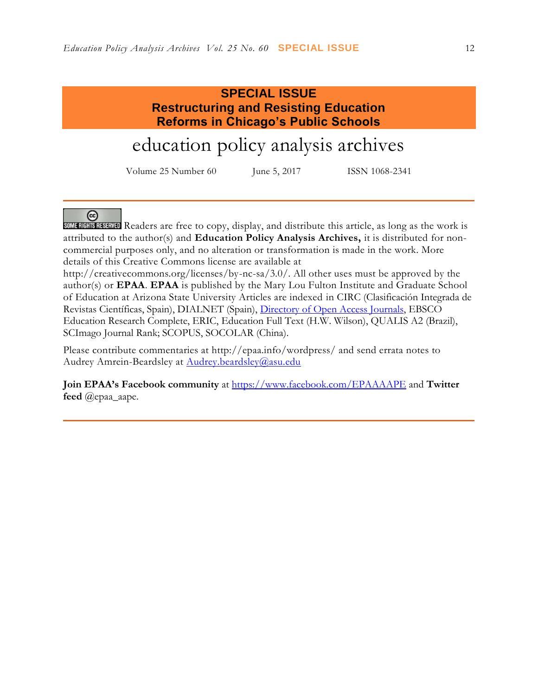## **SPECIAL ISSUE Restructuring and Resisting Education Reforms in Chicago's Public Schools**

# education policy analysis archives

Volume 25 Number 60 June 5, 2017 ISSN 1068-2341

#### <u>ලෙ</u>

SOME RIGHTS RESTRUTED Readers are free to copy, display, and distribute this article, as long as the work is attributed to the author(s) and **Education Policy Analysis Archives,** it is distributed for noncommercial purposes only, and no alteration or transformation is made in the work. More details of this Creative Commons license are available at

http://creativecommons.org/licenses/by-nc-sa/3.0/. All other uses must be approved by the author(s) or **EPAA**. **EPAA** is published by the Mary Lou Fulton Institute and Graduate School of Education at Arizona State University Articles are indexed in CIRC (Clasificación Integrada de Revistas Científicas, Spain), DIALNET (Spain), [Directory of Open Access Journals,](http://www.doaj.org/) EBSCO Education Research Complete, ERIC, Education Full Text (H.W. Wilson), QUALIS A2 (Brazil), SCImago Journal Rank; SCOPUS, SOCOLAR (China).

Please contribute commentaries at http://epaa.info/wordpress/ and send errata notes to Audrey Amrein-Beardsley at [Audrey.beardsley@asu.edu](mailto:Audrey.beardsley@asu.edu)

**Join EPAA's Facebook community** at<https://www.facebook.com/EPAAAAPE> and **Twitter feed** @epaa\_aape.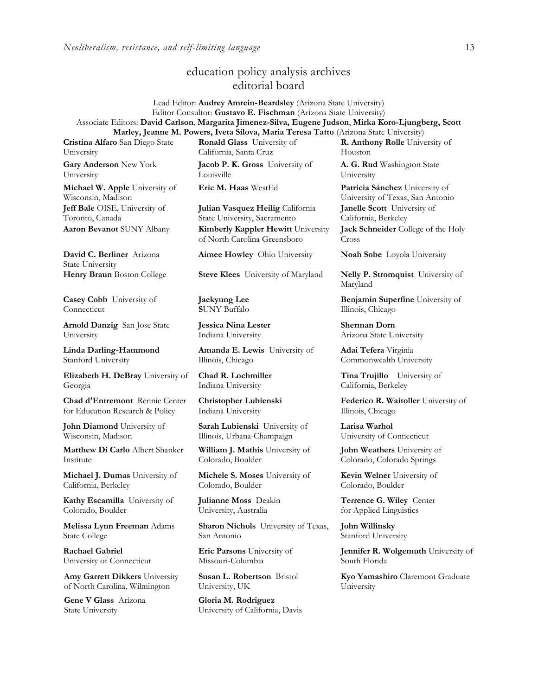## education policy analysis archives editorial board

Lead Editor: **Audrey Amrein-Beardsley** (Arizona State University) Editor Consultor: **Gustavo E. Fischman** (Arizona State University) Associate Editors: **David Carlson**, **Margarita Jimenez-Silva, Eugene Judson**, **Mirka Koro-Ljungberg, Scott Marley, Jeanne M. Powers, Iveta Silova, Maria Teresa Tatto** (Arizona State University)

**Cristina Alfaro** San Diego State University

**Gary Anderson** New York University

**Michael W. Apple** University of Wisconsin, Madison **Jeff Bale** OISE, University of Toronto, Canada

**David C. Berliner** Arizona State University

**Casey Cobb** University of **Connecticut** 

**Arnold Danzig** San Jose State University

**Linda Darling-Hammond**  Stanford University

**Elizabeth H. DeBray** University of Georgia

**Chad d'Entremont** Rennie Center for Education Research & Policy

**John Diamond** University of Wisconsin, Madison

**Matthew Di Carlo** Albert Shanker Institute

**Michael J. Dumas** University of California, Berkeley

**Kathy Escamilla** University of Colorado, Boulder

**Melissa Lynn Freeman** Adams State College

**Rachael Gabriel** University of Connecticut

**Amy Garrett Dikkers** University of North Carolina, Wilmington

**Gene V Glass** Arizona State University

**Ronald Glass** University of California, Santa Cruz

**Jacob P. K. Gross** University of **Louisville** 

**Julian Vasquez Heilig** California State University, Sacramento **Aaron Bevanot** SUNY Albany **Kimberly Kappler Hewitt** University of North Carolina Greensboro

**Aimee Howley** Ohio University **Noah Sobe** Loyola University

**Henry Braun** Boston College **Steve Klees** University of Maryland **Nelly P. Stromquist** University of

**Jaekyung Lee S**UNY Buffalo

**Jessica Nina Lester** Indiana University

**Amanda E. Lewis** University of Illinois, Chicago

**Chad R. Lochmiller**  Indiana University

**Christopher Lubienski**  Indiana University

**Sarah Lubienski** University of Illinois, Urbana-Champaign

**William J. Mathis** University of Colorado, Boulder

**Michele S. Moses** University of Colorado, Boulder

**Julianne Moss** Deakin University, Australia

**Sharon Nichols** University of Texas, San Antonio

**Eric Parsons** University of Missouri-Columbia

**Susan L. Robertson** Bristol University, UK

**Gloria M. Rodriguez** University of California, Davis **R. Anthony Rolle** University of Houston

**A. G. Rud** Washington State University

**Eric M. Haas** WestEd **Patricia Sánchez** University of University of Texas, San Antonio **Janelle Scott** University of California, Berkeley

> **Jack Schneider** College of the Holy Cross

Maryland

**Benjamin Superfine** University of Illinois, Chicago

**Sherman Dorn** Arizona State University

**Adai Tefera** Virginia Commonwealth University

**Tina Trujillo** University of California, Berkeley

**Federico R. Waitoller** University of Illinois, Chicago

**Larisa Warhol** University of Connecticut

**John Weathers** University of Colorado, Colorado Springs

**Kevin Welner** University of Colorado, Boulder

**Terrence G. Wiley** Center for Applied Linguistics

**John Willinsky**  Stanford University

**Jennifer R. Wolgemuth University of** South Florida

**Kyo Yamashiro** Claremont Graduate University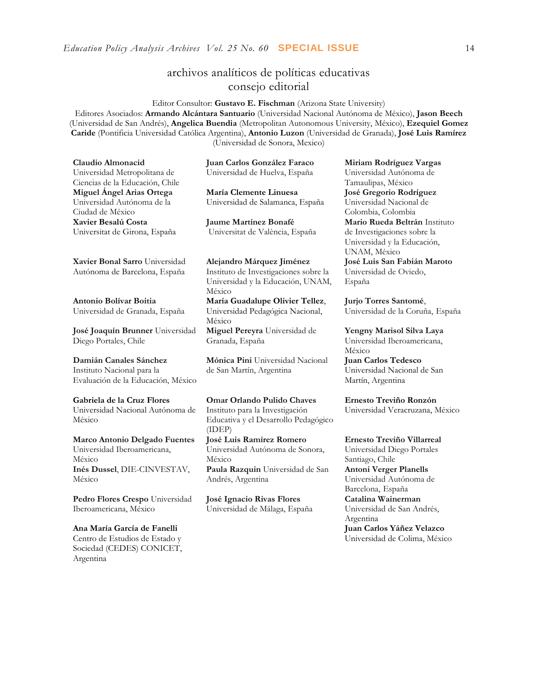*Education Policy Analysis Archives Vol. 25 No. 60* **SPECIAL ISSUE** 14

## archivos analíticos de políticas educativas consejo editorial

Editor Consultor: **Gustavo E. Fischman** (Arizona State University)

Editores Asociados: **Armando Alcántara Santuario** (Universidad Nacional Autónoma de México), **Jason Beech** (Universidad de San Andrés), **Angelica Buendia** (Metropolitan Autonomous University, México), **Ezequiel Gomez Caride** (Pontificia Universidad Católica Argentina), **Antonio Luzon** (Universidad de Granada), **José Luis Ramírez** (Universidad de Sonora, Mexico)

**Claudio Almonacid** Universidad Metropolitana de Ciencias de la Educación, Chile **Miguel Ángel Arias Ortega**  Universidad Autónoma de la Ciudad de México **Xavier Besalú Costa**  Universitat de Girona, España

**[Xavier Bonal](javascript:openRTWindow() Sarro** Universidad Autónoma de Barcelona, España

**[Antonio Bolívar](javascript:openRTWindow() Boitia** Universidad de Granada, España

**[José Joaquín Brunner](javascript:openRTWindow()** Universidad Diego Portales, Chile

**[Damián Canales Sánchez](javascript:openRTWindow()** Instituto Nacional para la Evaluación de la Educación, México

**Gabriela de la Cruz Flores** Universidad Nacional Autónoma de México

**[Marco Antonio Delgado Fuentes](javascript:openRTWindow()** Universidad Iberoamericana, México **[Inés Dussel](javascript:openRTWindow()**, DIE-CINVESTAV, México

**[Pedro Flores Crespo](javascript:openRTWindow()** Universidad Iberoamericana, México

**Ana María García de Fanelli**  Centro de Estudios de Estado y Sociedad (CEDES) CONICET, Argentina

**Juan Carlos González Faraco**  Universidad de Huelva, España

**María Clemente Linuesa**  Universidad de Salamanca, España

**Jaume Martínez Bonafé** Universitat de València, España

**Alejandro Márquez Jiménez**  Instituto de Investigaciones sobre la Universidad y la Educación, UNAM, México

**María Guadalupe Olivier Tellez**, Universidad Pedagógica Nacional, México **[Miguel Pereyra](javascript:openRTWindow()** Universidad de Granada, España

**[Mónica Pini](javascript:openRTWindow()** Universidad Nacional de San Martín, Argentina

**Omar Orlando Pulido Chaves** Instituto para la Investigación Educativa y el Desarrollo Pedagógico (IDEP)

**[José Luis Ramírez](javascript:openRTWindow() Romero** Universidad Autónoma de Sonora, México

**[Paula Razquin](javascript:openRTWindow()** Universidad de San Andrés, Argentina

**José Ignacio Rivas Flores** Universidad de Málaga, España **[Miriam Rodríguez Vargas](javascript:openRTWindow()** Universidad Autónoma de Tamaulipas, México **José Gregorio Rodríguez**  Universidad Nacional de Colombia, Colombia **[Mario Rueda Beltrán](javascript:openRTWindow()** Instituto de Investigaciones sobre la Universidad y la Educación, UNAM, México **José Luis San Fabián Maroto**  Universidad de Oviedo, España

**[Jurjo Torres Santomé](javascript:openRTWindow()**, Universidad de la Coruña, España

**[Yengny Marisol Silva Laya](javascript:openRTWindow()** Universidad Iberoamericana, México **Juan Carlos Tedesco** Universidad Nacional de San Martín, Argentina

**Ernesto Treviño Ronzón** Universidad Veracruzana, México

**[Ernesto Treviño](javascript:openRTWindow() Villarreal** Universidad Diego Portales Santiago, Chile **[Antoni Verger Planells](javascript:openRTWindow()** Universidad Autónoma de Barcelona, España **[Catalina Wainerman](javascript:openRTWindow()** Universidad de San Andrés, Argentina **Juan Carlos Yáñez Velazco** Universidad de Colima, México